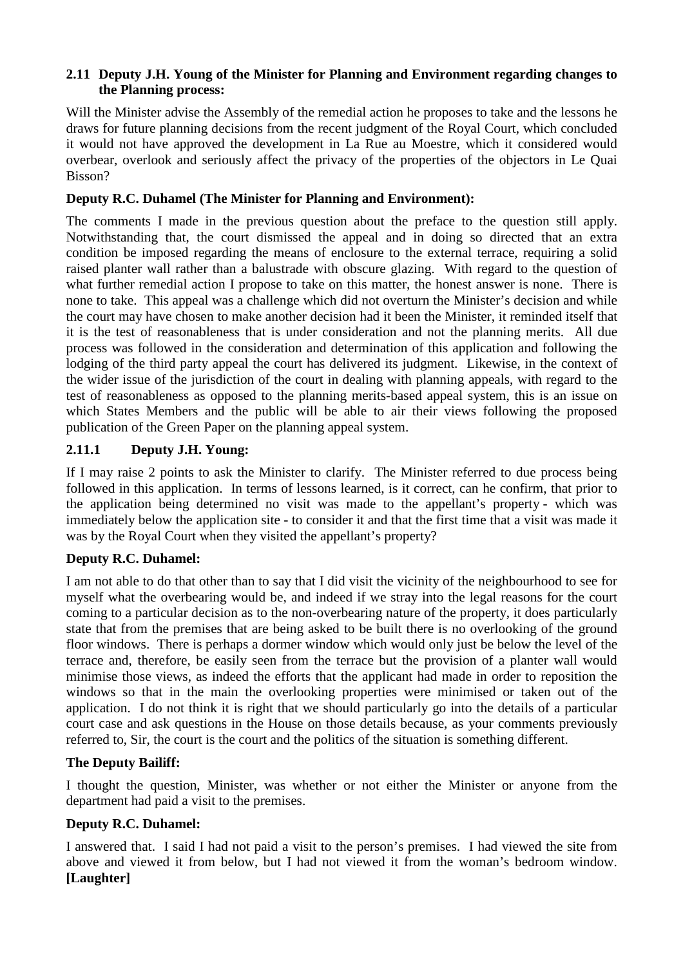#### **2.11 Deputy J.H. Young of the Minister for Planning and Environment regarding changes to the Planning process:**

Will the Minister advise the Assembly of the remedial action he proposes to take and the lessons he draws for future planning decisions from the recent judgment of the Royal Court, which concluded it would not have approved the development in La Rue au Moestre, which it considered would overbear, overlook and seriously affect the privacy of the properties of the objectors in Le Quai Bisson?

### **Deputy R.C. Duhamel (The Minister for Planning and Environment):**

The comments I made in the previous question about the preface to the question still apply. Notwithstanding that, the court dismissed the appeal and in doing so directed that an extra condition be imposed regarding the means of enclosure to the external terrace, requiring a solid raised planter wall rather than a balustrade with obscure glazing. With regard to the question of what further remedial action I propose to take on this matter, the honest answer is none. There is none to take. This appeal was a challenge which did not overturn the Minister's decision and while the court may have chosen to make another decision had it been the Minister, it reminded itself that it is the test of reasonableness that is under consideration and not the planning merits. All due process was followed in the consideration and determination of this application and following the lodging of the third party appeal the court has delivered its judgment. Likewise, in the context of the wider issue of the jurisdiction of the court in dealing with planning appeals, with regard to the test of reasonableness as opposed to the planning merits-based appeal system, this is an issue on which States Members and the public will be able to air their views following the proposed publication of the Green Paper on the planning appeal system.

# **2.11.1 Deputy J.H. Young:**

If I may raise 2 points to ask the Minister to clarify. The Minister referred to due process being followed in this application. In terms of lessons learned, is it correct, can he confirm, that prior to the application being determined no visit was made to the appellant's property - which was immediately below the application site - to consider it and that the first time that a visit was made it was by the Royal Court when they visited the appellant's property?

### **Deputy R.C. Duhamel:**

I am not able to do that other than to say that I did visit the vicinity of the neighbourhood to see for myself what the overbearing would be, and indeed if we stray into the legal reasons for the court coming to a particular decision as to the non-overbearing nature of the property, it does particularly state that from the premises that are being asked to be built there is no overlooking of the ground floor windows. There is perhaps a dormer window which would only just be below the level of the terrace and, therefore, be easily seen from the terrace but the provision of a planter wall would minimise those views, as indeed the efforts that the applicant had made in order to reposition the windows so that in the main the overlooking properties were minimised or taken out of the application. I do not think it is right that we should particularly go into the details of a particular court case and ask questions in the House on those details because, as your comments previously referred to, Sir, the court is the court and the politics of the situation is something different.

### **The Deputy Bailiff:**

I thought the question, Minister, was whether or not either the Minister or anyone from the department had paid a visit to the premises.

### **Deputy R.C. Duhamel:**

I answered that. I said I had not paid a visit to the person's premises. I had viewed the site from above and viewed it from below, but I had not viewed it from the woman's bedroom window. **[Laughter]**